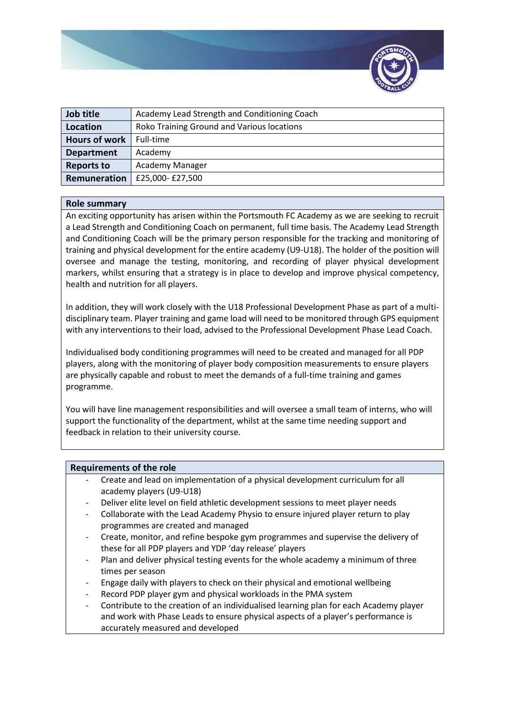

| Job title            | Academy Lead Strength and Conditioning Coach |
|----------------------|----------------------------------------------|
| Location             | Roko Training Ground and Various locations   |
| <b>Hours of work</b> | Full-time                                    |
| <b>Department</b>    | Academy                                      |
| <b>Reports to</b>    | Academy Manager                              |
| Remuneration         | £25,000-£27,500                              |

## **Role summary**

An exciting opportunity has arisen within the Portsmouth FC Academy as we are seeking to recruit a Lead Strength and Conditioning Coach on permanent, full time basis. The Academy Lead Strength and Conditioning Coach will be the primary person responsible for the tracking and monitoring of training and physical development for the entire academy (U9-U18). The holder of the position will oversee and manage the testing, monitoring, and recording of player physical development markers, whilst ensuring that a strategy is in place to develop and improve physical competency, health and nutrition for all players.

In addition, they will work closely with the U18 Professional Development Phase as part of a multidisciplinary team. Player training and game load will need to be monitored through GPS equipment with any interventions to their load, advised to the Professional Development Phase Lead Coach.

Individualised body conditioning programmes will need to be created and managed for all PDP players, along with the monitoring of player body composition measurements to ensure players are physically capable and robust to meet the demands of a full-time training and games programme.

You will have line management responsibilities and will oversee a small team of interns, who will support the functionality of the department, whilst at the same time needing support and feedback in relation to their university course.

## **Requirements of the role**

- Create and lead on implementation of a physical development curriculum for all academy players (U9-U18)
- Deliver elite level on field athletic development sessions to meet player needs
- Collaborate with the Lead Academy Physio to ensure injured player return to play programmes are created and managed
- Create, monitor, and refine bespoke gym programmes and supervise the delivery of these for all PDP players and YDP 'day release' players
- Plan and deliver physical testing events for the whole academy a minimum of three times per season
- Engage daily with players to check on their physical and emotional wellbeing
- Record PDP player gym and physical workloads in the PMA system
- Contribute to the creation of an individualised learning plan for each Academy player and work with Phase Leads to ensure physical aspects of a player's performance is accurately measured and developed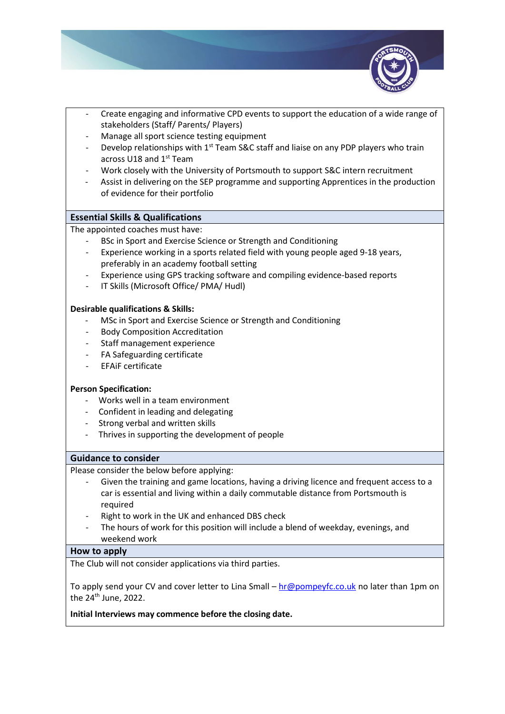

- Create engaging and informative CPD events to support the education of a wide range of stakeholders (Staff/ Parents/ Players)
- Manage all sport science testing equipment
- Develop relationships with  $1<sup>st</sup>$  Team S&C staff and liaise on any PDP players who train across U18 and 1<sup>st</sup> Team
- Work closely with the University of Portsmouth to support S&C intern recruitment
- Assist in delivering on the SEP programme and supporting Apprentices in the production of evidence for their portfolio

# **Essential Skills & Qualifications**

The appointed coaches must have:

- BSc in Sport and Exercise Science or Strength and Conditioning
- Experience working in a sports related field with young people aged 9-18 years, preferably in an academy football setting
- Experience using GPS tracking software and compiling evidence-based reports
- IT Skills (Microsoft Office/ PMA/ Hudl)

## **Desirable qualifications & Skills:**

- MSc in Sport and Exercise Science or Strength and Conditioning
- Body Composition Accreditation
- Staff management experience
- FA Safeguarding certificate
- EFAiF certificate

## **Person Specification:**

- Works well in a team environment
- Confident in leading and delegating
- Strong verbal and written skills
- Thrives in supporting the development of people

## **Guidance to consider**

Please consider the below before applying:

- Given the training and game locations, having a driving licence and frequent access to a car is essential and living within a daily commutable distance from Portsmouth is required
- Right to work in the UK and enhanced DBS check
- The hours of work for this position will include a blend of weekday, evenings, and weekend work

## **How to apply**

The Club will not consider applications via third parties.

To apply send your CV and cover letter to Lina Small – [hr@pompeyfc.co.uk](mailto:hr@pompeyfc.co.uk) no later than 1pm on the 24<sup>th</sup> June, 2022.

**Initial Interviews may commence before the closing date.**